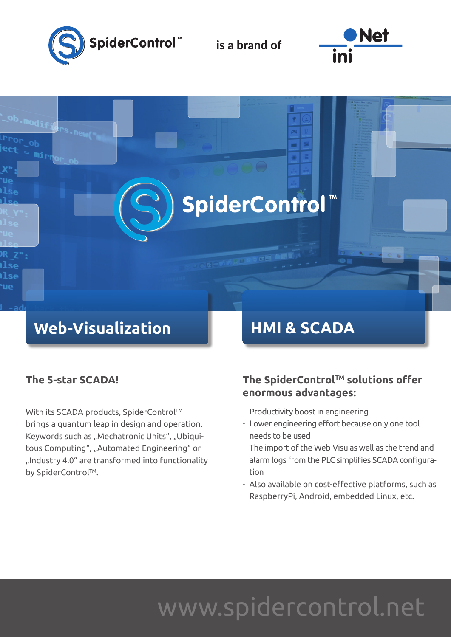

is a brand of





### **The 5-star SCADA!**

With its SCADA products, SpiderControl™ brings a quantum leap in design and operation. Keywords such as "Mechatronic Units", "Ubiquitous Computing", "Automated Engineering" or "Industry 4.0" are transformed into functionality by SpiderControl™.

### **The SpiderControlTM solutions offer enormous advantages:**

- Productivity boost in engineering
- Lower engineering effort because only one tool needs to be used
- The import of the Web-Visu as well as the trend and alarm logs from the PLC simplifies SCADA configura tion
- Also available on cost-effective platforms, such as RaspberryPi, Android, embedded Linux, etc.

# www.spidercontrol.net